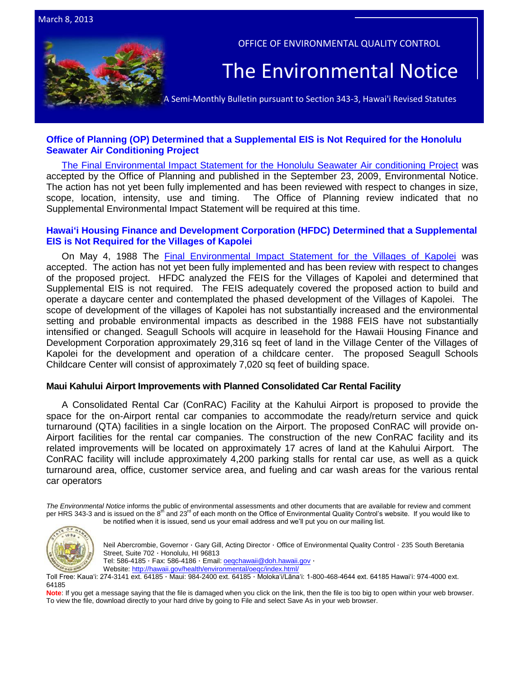



# **[Office of Planning \(OP\) Determined that a Supplemental EIS is Not](http://oeqc.doh.hawaii.gov/Shared%20Documents/EA_and_EIS_Online_Library/OTHER%20CHAPTER%20343%20NOTICES/2013-03-08-HAR-11-200-27-Honolulu-Seawater-Air-Conditioning-Project.pdf) Required for the Honolulu [Seawater Air Conditioning Project](http://oeqc.doh.hawaii.gov/Shared%20Documents/EA_and_EIS_Online_Library/OTHER%20CHAPTER%20343%20NOTICES/2013-03-08-HAR-11-200-27-Honolulu-Seawater-Air-Conditioning-Project.pdf)**

[The Final Environmental Impact Statement for the Honolulu Seawater Air conditioning Project](http://oeqc.doh.hawaii.gov/Shared%20Documents/EA_and_EIS_Online_Library/Oahu/2000s/2009-09-23-OA-FEIS-Honolulu-Seawater-AirConditioning.pdf) was accepted by the Office of Planning and published in the September 23, 2009, Environmental Notice. The action has not yet been fully implemented and has been reviewed with respect to changes in size, scope, location, intensity, use and timing. The Office of Planning review indicated that no Supplemental Environmental Impact Statement will be required at this time.

# **[Hawaiʻi Housing Finance and Development Corporation \(HFDC\) Determined that a Supplemental](http://oeqc.doh.hawaii.gov/Shared%20Documents/EA_and_EIS_Online_Library/OTHER%20CHAPTER%20343%20NOTICES/2013-03-08-HAR-11-200-27-Villages-of-Kapolei-Seagull-Schools-Childcare-Center.pdf)  EIS is Not [Required for the Villages of Kapolei](http://oeqc.doh.hawaii.gov/Shared%20Documents/EA_and_EIS_Online_Library/OTHER%20CHAPTER%20343%20NOTICES/2013-03-08-HAR-11-200-27-Villages-of-Kapolei-Seagull-Schools-Childcare-Center.pdf)**

On May 4, 1988 The [Final Environmental Impact Statement for the Villages of Kapolei](http://oeqc.doh.hawaii.gov/Shared%20Documents/EA_and_EIS_Online_Library/Oahu/1980s/1988-02-OA-FEIS-KAPOLEI-VILLAGE.pdf) was accepted. The action has not yet been fully implemented and has been review with respect to changes of the proposed project. HFDC analyzed the FEIS for the Villages of Kapolei and determined that Supplemental EIS is not required. The FEIS adequately covered the proposed action to build and operate a daycare center and contemplated the phased development of the Villages of Kapolei. The scope of development of the villages of Kapolei has not substantially increased and the environmental setting and probable environmental impacts as described in the 1988 FEIS have not substantially intensified or changed. Seagull Schools will acquire in leasehold for the Hawaii Housing Finance and Development Corporation approximately 29,316 sq feet of land in the Village Center of the Villages of Kapolei for the development and operation of a childcare center. The proposed Seagull Schools Childcare Center will consist of approximately 7,020 sq feet of building space.

## **Maui Kahului Airport Improvements with Planned Consolidated Car Rental Facility**

A Consolidated Rental Car (ConRAC) Facility at the Kahului Airport is proposed to provide the space for the on-Airport rental car companies to accommodate the ready/return service and quick turnaround (QTA) facilities in a single location on the Airport. The proposed ConRAC will provide on-Airport facilities for the rental car companies. The construction of the new ConRAC facility and its related improvements will be located on approximately 17 acres of land at the Kahului Airport. The ConRAC facility will include approximately 4,200 parking stalls for rental car use, as well as a quick turnaround area, office, customer service area, and fueling and car wash areas for the various rental car operators

*The Environmental Notice* informs the public of environmental assessments and other documents that are available for review and comment per HRS 343-3 and is issued on the 8<sup>th</sup> and 23<sup>rd</sup> of each month on the Office of Environmental Quality Control's website. If you would like to be notified when it is issued, send us your email address and we'll put you on our mailing list.



Neil Abercrombie, Governor · Gary Gill, Acting Director · Office of Environmental Quality Control · 235 South Beretania Street, Suite 702 · Honolulu, HI 96813 Tel: 586-4185 · Fax: 586-4186 · Email[: oeqchawaii@doh.hawaii.gov](mailto:oeqchawaii@doh.hawaii.gov) ·

Website:<http://hawaii.gov/health/environmental/oeqc/index.html/>

Toll Free: Kauaʻi: 274-3141 ext. 64185 · Maui: 984-2400 ext. 64185 · Molokaʻi/Lānaʻi: 1-800-468-4644 ext. 64185 Hawaiʻi: 974-4000 ext. 64185

Note: If you get a message saying that the file is damaged when you click on the link, then the file is too big to open within your web browser. To view the file, download directly to your hard drive by going to File and select Save As in your web browser.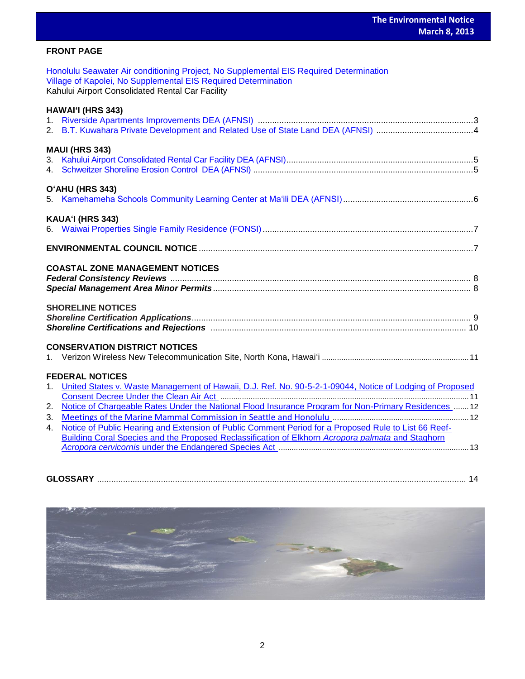# **FRONT PAGE**

| Honolulu Seawater Air conditioning Project, No Supplemental EIS Required Determination |  |
|----------------------------------------------------------------------------------------|--|
| Village of Kapolei, No Supplemental EIS Required Determination                         |  |
| Kahului Airport Consolidated Rental Car Facility                                       |  |
|                                                                                        |  |
| <b>HAWAI'I (HRS 343)</b>                                                               |  |
|                                                                                        |  |
|                                                                                        |  |

| <b>MAUI (HRS 343)</b>  |  |  |
|------------------------|--|--|
|                        |  |  |
|                        |  |  |
| <b>O'AHU (HRS 343)</b> |  |  |

|--|--|--|--|--|--|

# **KAUAʻI (HRS 343)** 6. [Waiwai Properties Single Family Residence \(FONSI\).](http://oeqc.doh.hawaii.gov/Shared%20Documents/EA_and_EIS_Online_Library/Kauai/2010s/2013-03-08-FEA-5e-Waiwai-Properties-Single-Family-Residence-Lawai-Beach-Road.pdf)........................................................................................7 **ENVIRONMENTAL COUNCIL NOTICE** ....................................................................................................................7

# **COASTAL ZONE MANAGEMENT NOTICES**

# **SHORELINE NOTICES**

# **CONSERVATION DISTRICT NOTICES**

|--|--|--|--|--|--|

# **FEDERAL NOTICES**

| 1. United States v. Waste Management of Hawaii, D.J. Ref. No. 90-5-2-1-09044, Notice of Lodging of Proposed |  |
|-------------------------------------------------------------------------------------------------------------|--|
|                                                                                                             |  |
| 2. Notice of Chargeable Rates Under the National Flood Insurance Program for Non-Primary Residences  12     |  |
|                                                                                                             |  |
| 4. Notice of Public Hearing and Extension of Public Comment Period for a Proposed Rule to List 66 Reef-     |  |
| Building Coral Species and the Proposed Reclassification of Elkhorn Acropora palmata and Staghorn           |  |
|                                                                                                             |  |

| <b>GLOSSARY</b> |  |
|-----------------|--|
|                 |  |

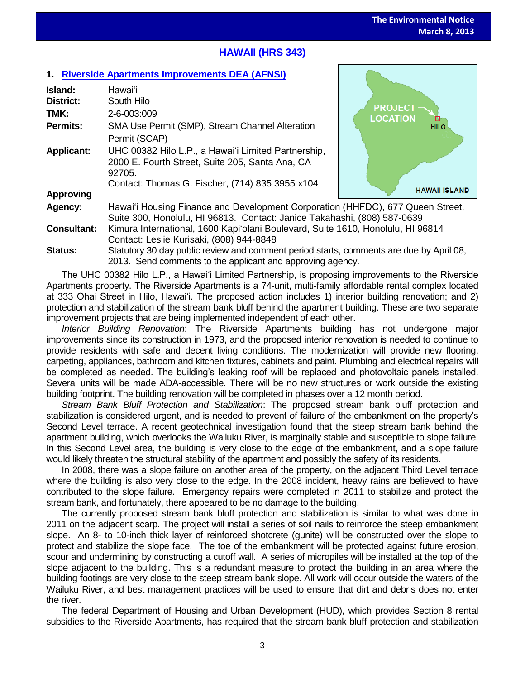**HAWAII ISLAND** 

# **HAWAII (HRS 343)**

# **1. [Riverside Apartments Improvements](http://oeqc.doh.hawaii.gov/Shared%20Documents/EA_and_EIS_Online_Library/Hawaii/2010s/2013-03-08-DEA-5e-Hilo-Riverside-Apartments-Improvements-and-Stream-Bank-Stabilization.pdf) DEA (AFNSI)**

| Island:<br><b>District:</b> | Hawai'i<br>South Hilo                                                                                                                                               | <b>PROJECT</b>       |  |  |  |
|-----------------------------|---------------------------------------------------------------------------------------------------------------------------------------------------------------------|----------------------|--|--|--|
| TMK:                        | 2-6-003:009                                                                                                                                                         | <b>LOCATION</b><br>▫ |  |  |  |
| <b>Permits:</b>             | SMA Use Permit (SMP), Stream Channel Alteration<br>Permit (SCAP)                                                                                                    | <b>HILO</b>          |  |  |  |
| <b>Applicant:</b>           | UHC 00382 Hilo L.P., a Hawai'i Limited Partnership,<br>2000 E. Fourth Street, Suite 205, Santa Ana, CA<br>92705.<br>Contact: Thomas G. Fischer, (714) 835 3955 x104 |                      |  |  |  |
| <b>Approving</b>            |                                                                                                                                                                     | <b>HAWAII ISLAN</b>  |  |  |  |
| Agency:                     | Hawai'i Housing Finance and Development Corporation (HHFDC), 677 Queen Street,<br>Suite 300, Honolulu, HI 96813. Contact: Janice Takahashi, (808) 587-0639          |                      |  |  |  |
| <b>Consultant:</b>          | Kimura International, 1600 Kapi'olani Boulevard, Suite 1610, Honolulu, HI 96814<br>Contact: Leslie Kurisaki, (808) 944-8848                                         |                      |  |  |  |
| $Q_{\text{full}}$           | Statutory 20 day public rovious and commont poriod starts, commonts are duo by April 08                                                                             |                      |  |  |  |

**Status:** Statutory 30 day public review and comment period starts, comments are due by April 08, 2013. Send comments to the applicant and approving agency.

The UHC 00382 Hilo L.P., a Hawai'i Limited Partnership, is proposing improvements to the Riverside Apartments property. The Riverside Apartments is a 74-unit, multi-family affordable rental complex located at 333 Ohai Street in Hilo, Hawai'i. The proposed action includes 1) interior building renovation; and 2) protection and stabilization of the stream bank bluff behind the apartment building. These are two separate improvement projects that are being implemented independent of each other.

*Interior Building Renovation*: The Riverside Apartments building has not undergone major improvements since its construction in 1973, and the proposed interior renovation is needed to continue to provide residents with safe and decent living conditions. The modernization will provide new flooring, carpeting, appliances, bathroom and kitchen fixtures, cabinets and paint. Plumbing and electrical repairs will be completed as needed. The building's leaking roof will be replaced and photovoltaic panels installed. Several units will be made ADA-accessible. There will be no new structures or work outside the existing building footprint. The building renovation will be completed in phases over a 12 month period.

*Stream Bank Bluff Protection and Stabilization*: The proposed stream bank bluff protection and stabilization is considered urgent, and is needed to prevent of failure of the embankment on the property's Second Level terrace. A recent geotechnical investigation found that the steep stream bank behind the apartment building, which overlooks the Wailuku River, is marginally stable and susceptible to slope failure. In this Second Level area, the building is very close to the edge of the embankment, and a slope failure would likely threaten the structural stability of the apartment and possibly the safety of its residents.

In 2008, there was a slope failure on another area of the property, on the adjacent Third Level terrace where the building is also very close to the edge. In the 2008 incident, heavy rains are believed to have contributed to the slope failure. Emergency repairs were completed in 2011 to stabilize and protect the stream bank, and fortunately, there appeared to be no damage to the building.

The currently proposed stream bank bluff protection and stabilization is similar to what was done in 2011 on the adjacent scarp. The project will install a series of soil nails to reinforce the steep embankment slope. An 8- to 10-inch thick layer of reinforced shotcrete (gunite) will be constructed over the slope to protect and stabilize the slope face. The toe of the embankment will be protected against future erosion, scour and undermining by constructing a cutoff wall. A series of micropiles will be installed at the top of the slope adjacent to the building. This is a redundant measure to protect the building in an area where the building footings are very close to the steep stream bank slope. All work will occur outside the waters of the Wailuku River, and best management practices will be used to ensure that dirt and debris does not enter the river.

The federal Department of Housing and Urban Development (HUD), which provides Section 8 rental subsidies to the Riverside Apartments, has required that the stream bank bluff protection and stabilization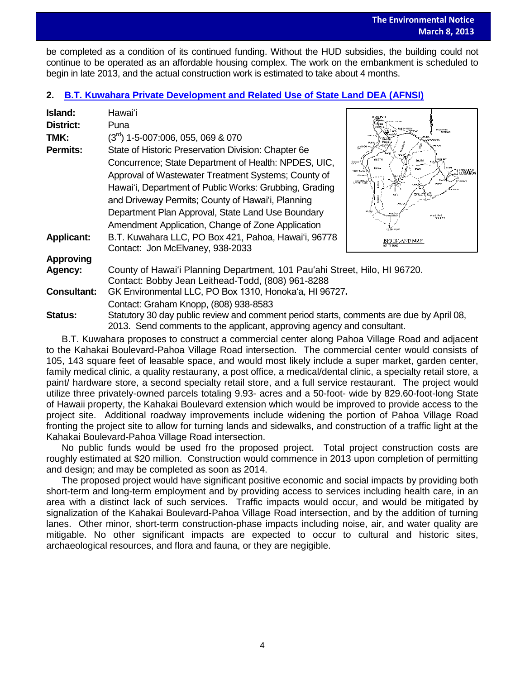be completed as a condition of its continued funding. Without the HUD subsidies, the building could not continue to be operated as an affordable housing complex. The work on the embankment is scheduled to begin in late 2013, and the actual construction work is estimated to take about 4 months.

# **2. B.T. Kuwahara [Private Development and Related Use of State Land DEA \(AFNSI\)](http://oeqc.doh.hawaii.gov/Shared%20Documents/EA_and_EIS_Online_Library/Hawaii/2010s/2013-03-08-DEA-5e-BT-Kuwahara-Private-Development-in-Pahoa-Village.pdf)**

| Island:            | Hawai'i                                                                                 |                                                                              |  |
|--------------------|-----------------------------------------------------------------------------------------|------------------------------------------------------------------------------|--|
| District:          | Puna                                                                                    |                                                                              |  |
|                    |                                                                                         | PACIFIC<br>- GOEAN                                                           |  |
| TMK:               | $(3rd)$ 1-5-007:006, 055, 069 & 070                                                     | anu-1045                                                                     |  |
| <b>Permits:</b>    | State of Historic Preservation Division: Chapter 6e                                     |                                                                              |  |
|                    | Concurrence; State Department of Health: NPDES, UIC,                                    | $\frac{1}{16}$ and $\frac{1}{16}$                                            |  |
|                    | Approval of Wastewater Treatment Systems; County of                                     | PROJECT<br>LOCATION<br>1006-004<br><b>Lives</b><br>LENU B.L.<br>LINCIATI COA |  |
|                    | Hawai'i, Department of Public Works: Grubbing, Grading                                  |                                                                              |  |
|                    | and Driveway Permits; County of Hawai'i, Planning                                       |                                                                              |  |
|                    | Department Plan Approval, State Land Use Boundary                                       | <b>PROFILE</b>                                                               |  |
|                    | Amendment Application, Change of Zone Application                                       |                                                                              |  |
| <b>Applicant:</b>  | B.T. Kuwahara LLC, PO Box 421, Pahoa, Hawai'i, 96778                                    | <b>BIG ISLAND MAP</b>                                                        |  |
|                    | Contact: Jon McElvaney, 938-2033                                                        |                                                                              |  |
| <b>Approving</b>   |                                                                                         |                                                                              |  |
| <b>Agency:</b>     | County of Hawai'i Planning Department, 101 Pau'ahi Street, Hilo, HI 96720.              |                                                                              |  |
|                    | Contact: Bobby Jean Leithead-Todd, (808) 961-8288                                       |                                                                              |  |
| <b>Consultant:</b> | GK Environmental LLC, PO Box 1310, Honoka'a, HI 96727.                                  |                                                                              |  |
|                    | Contact: Graham Knopp, (808) 938-8583                                                   |                                                                              |  |
| Status:            | Statutory 30 day public review and comment period starts, comments are due by April 08, |                                                                              |  |
|                    | 2013. Send comments to the applicant, approving agency and consultant.                  |                                                                              |  |

B.T. Kuwahara proposes to construct a commercial center along Pahoa Village Road and adjacent to the Kahakai Boulevard-Pahoa Village Road intersection. The commercial center would consists of 105, 143 square feet of leasable space, and would most likely include a super market, garden center, family medical clinic, a quality restaurany, a post office, a medical/dental clinic, a specialty retail store, a paint/ hardware store, a second specialty retail store, and a full service restaurant. The project would utilize three privately-owned parcels totaling 9.93- acres and a 50-foot- wide by 829.60-foot-long State of Hawaii property, the Kahakai Boulevard extension which would be improved to provide access to the project site. Additional roadway improvements include widening the portion of Pahoa Village Road fronting the project site to allow for turning lands and sidewalks, and construction of a traffic light at the Kahakai Boulevard-Pahoa Village Road intersection.

No public funds would be used fro the proposed project. Total project construction costs are roughly estimated at \$20 million. Construction would commence in 2013 upon completion of permitting and design; and may be completed as soon as 2014.

The proposed project would have significant positive economic and social impacts by providing both short-term and long-term employment and by providing access to services including health care, in an area with a distinct lack of such services. Traffic impacts would occur, and would be mitigated by signalization of the Kahakai Boulevard-Pahoa Village Road intersection, and by the addition of turning lanes. Other minor, short-term construction-phase impacts including noise, air, and water quality are mitigable. No other significant impacts are expected to occur to cultural and historic sites, archaeological resources, and flora and fauna, or they are negigible.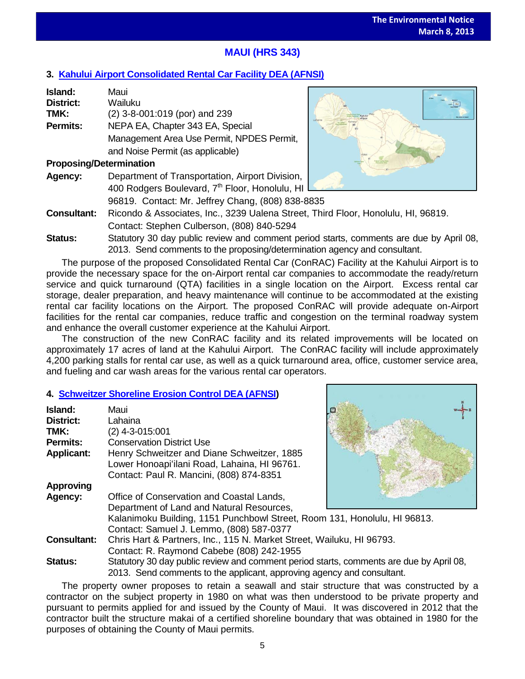# **MAUI (HRS 343)**

# **3. [Kahului Airport Consolidated Rental Car Facility](http://oeqc.doh.hawaii.gov/Shared%20Documents/EA_and_EIS_Online_Library/Maui/2010s/2013-03-08-DEA-5b-Kahului-Airport-Consolidated-Rental-Car-Facility.pdf) DEA (AFNSI)**

| Island:                        | Maui                                            |  |
|--------------------------------|-------------------------------------------------|--|
| <b>District:</b>               | Wailuku                                         |  |
| TMK:                           | (2) 3-8-001:019 (por) and 239                   |  |
| <b>Permits:</b>                | NEPA EA, Chapter 343 EA, Special                |  |
|                                | Management Area Use Permit, NPDES Permit,       |  |
|                                | and Noise Permit (as applicable)                |  |
| <b>Proposing/Determination</b> |                                                 |  |
| Agency:                        | Department of Transportation, Airport Division, |  |

400 Rodgers Boulevard, 7<sup>th</sup> Floor, Honolulu, HI L 96819. Contact: Mr. Jeffrey Chang, (808) 838-8835



- **Consultant:** Ricondo & Associates, Inc., 3239 Ualena Street, Third Floor, Honolulu, HI, 96819. Contact: Stephen Culberson, (808) 840-5294
- **Status:** Statutory 30 day public review and comment period starts, comments are due by April 08, 2013. Send comments to the proposing/determination agency and consultant.

The purpose of the proposed Consolidated Rental Car (ConRAC) Facility at the Kahului Airport is to provide the necessary space for the on-Airport rental car companies to accommodate the ready/return service and quick turnaround (QTA) facilities in a single location on the Airport. Excess rental car storage, dealer preparation, and heavy maintenance will continue to be accommodated at the existing rental car facility locations on the Airport. The proposed ConRAC will provide adequate on-Airport facilities for the rental car companies, reduce traffic and congestion on the terminal roadway system and enhance the overall customer experience at the Kahului Airport.

The construction of the new ConRAC facility and its related improvements will be located on approximately 17 acres of land at the Kahului Airport. The ConRAC facility will include approximately 4,200 parking stalls for rental car use, as well as a quick turnaround area, office, customer service area, and fueling and car wash areas for the various rental car operators.

# **4. [Schweitzer Shoreline Erosion Control DEA \(AFNSI\)](http://oeqc.doh.hawaii.gov/Shared%20Documents/EA_and_EIS_Online_Library/Maui/2010s/2013-03-08-DEA-5e-Schweitzer-Shoreline-Erosion-Control-in-Lahaina.pdf)**

| Island:            | Maui                                                                                    |  |  |  |  |  |
|--------------------|-----------------------------------------------------------------------------------------|--|--|--|--|--|
| <b>District:</b>   | Lahaina                                                                                 |  |  |  |  |  |
| TMK:               | $(2)$ 4-3-015:001                                                                       |  |  |  |  |  |
| <b>Permits:</b>    | <b>Conservation District Use</b>                                                        |  |  |  |  |  |
| <b>Applicant:</b>  | Henry Schweitzer and Diane Schweitzer, 1885                                             |  |  |  |  |  |
|                    | Lower Honoapi'ilani Road, Lahaina, HI 96761.                                            |  |  |  |  |  |
|                    | Contact: Paul R. Mancini, (808) 874-8351                                                |  |  |  |  |  |
| <b>Approving</b>   |                                                                                         |  |  |  |  |  |
| Agency:            | Office of Conservation and Coastal Lands,                                               |  |  |  |  |  |
|                    | Department of Land and Natural Resources,                                               |  |  |  |  |  |
|                    | Kalanimoku Building, 1151 Punchbowl Street, Room 131, Honolulu, HI 96813.               |  |  |  |  |  |
|                    | Contact: Samuel J. Lemmo, (808) 587-0377                                                |  |  |  |  |  |
| <b>Consultant:</b> | Chris Hart & Partners, Inc., 115 N. Market Street, Wailuku, HI 96793.                   |  |  |  |  |  |
|                    | Contact: R. Raymond Cabebe (808) 242-1955                                               |  |  |  |  |  |
| <b>Status:</b>     | Statutory 30 day public review and comment period starts, comments are due by April 08, |  |  |  |  |  |
|                    | 2013. Send comments to the applicant, approving agency and consultant.                  |  |  |  |  |  |

The property owner proposes to retain a seawall and stair structure that was constructed by a contractor on the subject property in 1980 on what was then understood to be private property and pursuant to permits applied for and issued by the County of Maui. It was discovered in 2012 that the contractor built the structure makai of a certified shoreline boundary that was obtained in 1980 for the purposes of obtaining the County of Maui permits.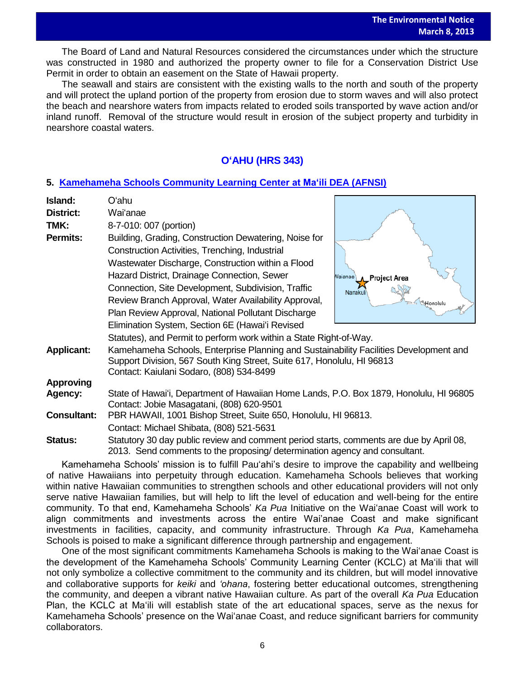The Board of Land and Natural Resources considered the circumstances under which the structure was constructed in 1980 and authorized the property owner to file for a Conservation District Use Permit in order to obtain an easement on the State of Hawaii property.

The seawall and stairs are consistent with the existing walls to the north and south of the property and will protect the upland portion of the property from erosion due to storm waves and will also protect the beach and nearshore waters from impacts related to eroded soils transported by wave action and/or inland runoff. Removal of the structure would result in erosion of the subject property and turbidity in nearshore coastal waters.

# **OʻAHU (HRS 343)**

# **5. [Kamehameha Schools Community Learning Center at Maʻili](http://oeqc.doh.hawaii.gov/Shared%20Documents/EA_and_EIS_Online_Library/Oahu/2010s/2013-03-08-DEA-5e-Kamehameha-Schools-Community-Learning-Center-at%20Maili.pdf) DEA (AFNSI)**

| Island:                                                                                                    | Oʻahu                                                                                                                                                                 |                          |  |  |
|------------------------------------------------------------------------------------------------------------|-----------------------------------------------------------------------------------------------------------------------------------------------------------------------|--------------------------|--|--|
| District:                                                                                                  | Wai'anae                                                                                                                                                              |                          |  |  |
| TMK:                                                                                                       | 8-7-010: 007 (portion)                                                                                                                                                |                          |  |  |
| <b>Permits:</b>                                                                                            | Building, Grading, Construction Dewatering, Noise for                                                                                                                 |                          |  |  |
|                                                                                                            | Construction Activities, Trenching, Industrial                                                                                                                        |                          |  |  |
|                                                                                                            | Wastewater Discharge, Construction within a Flood                                                                                                                     |                          |  |  |
|                                                                                                            | Hazard District, Drainage Connection, Sewer                                                                                                                           | Vaianae<br>_Project Area |  |  |
|                                                                                                            | Connection, Site Development, Subdivision, Traffic                                                                                                                    | Nanakul                  |  |  |
|                                                                                                            | Review Branch Approval, Water Availability Approval,                                                                                                                  | <b>E</b> Honolulu        |  |  |
|                                                                                                            | Plan Review Approval, National Pollutant Discharge                                                                                                                    |                          |  |  |
|                                                                                                            | Elimination System, Section 6E (Hawai'i Revised                                                                                                                       |                          |  |  |
|                                                                                                            | Statutes), and Permit to perform work within a State Right-of-Way.                                                                                                    |                          |  |  |
| Kamehameha Schools, Enterprise Planning and Sustainability Facilities Development and<br><b>Applicant:</b> |                                                                                                                                                                       |                          |  |  |
|                                                                                                            | Support Division, 567 South King Street, Suite 617, Honolulu, HI 96813                                                                                                |                          |  |  |
|                                                                                                            | Contact: Kaiulani Sodaro, (808) 534-8499                                                                                                                              |                          |  |  |
| <b>Approving</b><br>Agency:                                                                                |                                                                                                                                                                       |                          |  |  |
|                                                                                                            | State of Hawai'i, Department of Hawaiian Home Lands, P.O. Box 1879, Honolulu, HI 96805<br>Contact: Jobie Masagatani, (808) 620-9501                                   |                          |  |  |
| <b>Consultant:</b>                                                                                         | PBR HAWAII, 1001 Bishop Street, Suite 650, Honolulu, HI 96813.                                                                                                        |                          |  |  |
|                                                                                                            | Contact: Michael Shibata, (808) 521-5631                                                                                                                              |                          |  |  |
| Status:                                                                                                    | Statutory 30 day public review and comment period starts, comments are due by April 08,<br>2013. Send comments to the proposing/ determination agency and consultant. |                          |  |  |

Kamehameha Schools' mission is to fulfill Pauʻahi's desire to improve the capability and wellbeing of native Hawaiians into perpetuity through education. Kamehameha Schools believes that working within native Hawaiian communities to strengthen schools and other educational providers will not only serve native Hawaiian families, but will help to lift the level of education and well-being for the entire community. To that end, Kamehameha Schools' *Ka Pua* Initiative on the Waiʻanae Coast will work to align commitments and investments across the entire Wai'anae Coast and make significant investments in facilities, capacity, and community infrastructure. Through *Ka Pua*, Kamehameha Schools is poised to make a significant difference through partnership and engagement.

One of the most significant commitments Kamehameha Schools is making to the Waiʻanae Coast is the development of the Kamehameha Schools' Community Learning Center (KCLC) at Maʻili that will not only symbolize a collective commitment to the community and its children, but will model innovative and collaborative supports for *keiki* and *'ohana*, fostering better educational outcomes, strengthening the community, and deepen a vibrant native Hawaiian culture. As part of the overall *Ka Pua* Education Plan, the KCLC at Maʻili will establish state of the art educational spaces, serve as the nexus for Kamehameha Schools' presence on the Waiʻanae Coast, and reduce significant barriers for community collaborators.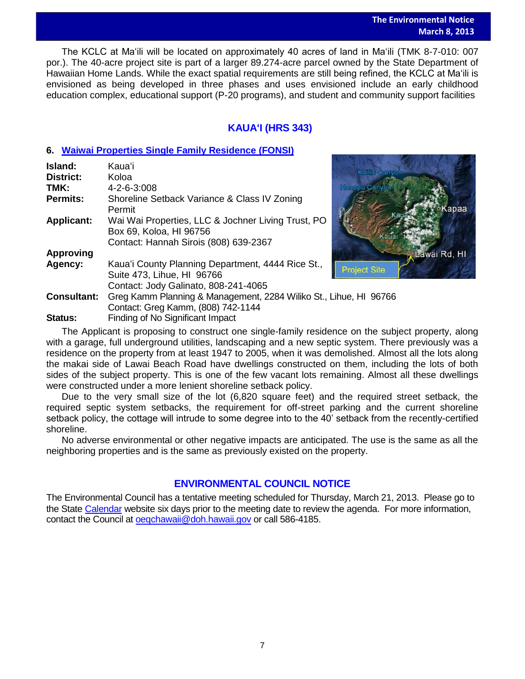## **The Environmental Notice March 8, 2013**

wai Rd. HI

 The KCLC at Maʻili will be located on approximately 40 acres of land in Maʻili (TMK 8-7-010: 007 por.). The 40-acre project site is part of a larger 89.274-acre parcel owned by the State Department of Hawaiian Home Lands. While the exact spatial requirements are still being refined, the KCLC at Maʻili is envisioned as being developed in three phases and uses envisioned include an early childhood education complex, educational support (P-20 programs), and student and community support facilities

# **KAUAʻI (HRS 343)**

# **6. [Waiwai Properties Single Family Residence](http://oeqc.doh.hawaii.gov/Shared%20Documents/EA_and_EIS_Online_Library/Kauai/2010s/2013-03-08-FEA-5e-Waiwai-Properties-Single-Family-Residence-Lawai-Beach-Road.pdf) (FONSI)**

| Island:            | Kauaʻi                                                                                                                 |                     |
|--------------------|------------------------------------------------------------------------------------------------------------------------|---------------------|
| <b>District:</b>   | Koloa                                                                                                                  | Kailiu Cany         |
| TMK:               | 4-2-6-3:008                                                                                                            | <b>Henopu</b> C     |
| <b>Permits:</b>    | Shoreline Setback Variance & Class IV Zoning<br>Permit                                                                 |                     |
| <b>Applicant:</b>  | Wai Wai Properties, LLC & Jochner Living Trust, PO<br>Box 69, Koloa, HI 96756<br>Contact: Hannah Sirois (808) 639-2367 |                     |
| <b>Approving</b>   |                                                                                                                        |                     |
| Agency:            | Kaua'i County Planning Department, 4444 Rice St.,<br>Suite 473, Lihue, HI 96766                                        | <b>Project Site</b> |
|                    | Contact: Jody Galinato, 808-241-4065                                                                                   |                     |
| <b>Consultant:</b> | Greg Kamm Planning & Management, 2284 Wiliko St., Lihue, HI 96766<br>Contact: Greg Kamm, (808) 742-1144                |                     |

**Status:** Finding of No Significant Impact

The Applicant is proposing to construct one single-family residence on the subject property, along with a garage, full underground utilities, landscaping and a new septic system. There previously was a residence on the property from at least 1947 to 2005, when it was demolished. Almost all the lots along the makai side of Lawai Beach Road have dwellings constructed on them, including the lots of both sides of the subject property. This is one of the few vacant lots remaining. Almost all these dwellings were constructed under a more lenient shoreline setback policy.

Due to the very small size of the lot (6,820 square feet) and the required street setback, the required septic system setbacks, the requirement for off-street parking and the current shoreline setback policy, the cottage will intrude to some degree into to the 40' setback from the recently-certified shoreline.

No adverse environmental or other negative impacts are anticipated. The use is the same as all the neighboring properties and is the same as previously existed on the property.

# **ENVIRONMENTAL COUNCIL NOTICE**

The Environmental Council has a tentative meeting scheduled for Thursday, March 21, 2013. Please go to the State [Calendar](http://calendar.ehawaii.gov/calendar/html/event) website six days prior to the meeting date to review the agenda. For more information, contact the Council at [oeqchawaii@doh.hawaii.gov](mailto:oeqchawaii@doh.hawaii.gov) or call 586-4185.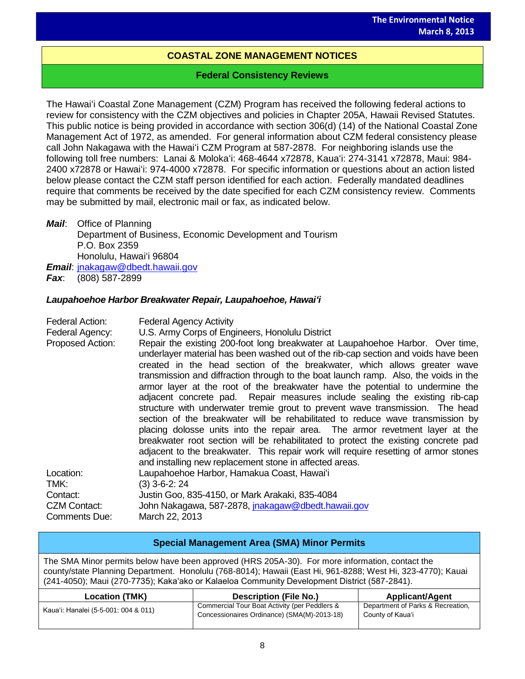# **COASTAL ZONE MANAGEMENT NOTICES**

# **Federal Consistency Reviews**

The Hawaiʻi Coastal Zone Management (CZM) Program has received the following federal actions to review for consistency with the CZM objectives and policies in Chapter 205A, Hawaii Revised Statutes. This public notice is being provided in accordance with section 306(d) (14) of the National Coastal Zone Management Act of 1972, as amended. For general information about CZM federal consistency please call John Nakagawa with the Hawaiʻi CZM Program at 587-2878. For neighboring islands use the following toll free numbers: Lanai & Molokaʻi: 468-4644 x72878, Kauaʻi: 274-3141 x72878, Maui: 984- 2400 x72878 or Hawaiʻi: 974-4000 x72878. For specific information or questions about an action listed below please contact the CZM staff person identified for each action. Federally mandated deadlines require that comments be received by the date specified for each CZM consistency review. Comments may be submitted by mail, electronic mail or fax, as indicated below.

*Mail*: Office of Planning Department of Business, Economic Development and Tourism P.O. Box 2359 Honolulu, Hawaiʻi 96804 *Email*: [jnakagaw@dbedt.hawaii.gov](mailto:jnakagaw@dbedt.hawaii.gov) *Fax*: (808) 587-2899

# *Laupahoehoe Harbor Breakwater Repair, Laupahoehoe, Hawaiʻi*

| Federal Action:<br>Federal Agency:<br>Proposed Action: | <b>Federal Agency Activity</b><br>U.S. Army Corps of Engineers, Honolulu District<br>Repair the existing 200-foot long breakwater at Laupahoehoe Harbor. Over time,<br>underlayer material has been washed out of the rib-cap section and voids have been<br>created in the head section of the breakwater, which allows greater wave<br>transmission and diffraction through to the boat launch ramp. Also, the voids in the<br>armor layer at the root of the breakwater have the potential to undermine the<br>adjacent concrete pad. Repair measures include sealing the existing rib-cap<br>structure with underwater tremie grout to prevent wave transmission. The head<br>section of the breakwater will be rehabilitated to reduce wave transmission by<br>placing dolosse units into the repair area. The armor revetment layer at the<br>breakwater root section will be rehabilitated to protect the existing concrete pad<br>adjacent to the breakwater. This repair work will require resetting of armor stones<br>and installing new replacement stone in affected areas. |
|--------------------------------------------------------|------------------------------------------------------------------------------------------------------------------------------------------------------------------------------------------------------------------------------------------------------------------------------------------------------------------------------------------------------------------------------------------------------------------------------------------------------------------------------------------------------------------------------------------------------------------------------------------------------------------------------------------------------------------------------------------------------------------------------------------------------------------------------------------------------------------------------------------------------------------------------------------------------------------------------------------------------------------------------------------------------------------------------------------------------------------------------------------|
| Location:                                              | Laupahoehoe Harbor, Hamakua Coast, Hawai'i<br>$(3)$ 3-6-2: 24                                                                                                                                                                                                                                                                                                                                                                                                                                                                                                                                                                                                                                                                                                                                                                                                                                                                                                                                                                                                                            |
| TMK:<br>Contact:                                       | Justin Goo, 835-4150, or Mark Arakaki, 835-4084                                                                                                                                                                                                                                                                                                                                                                                                                                                                                                                                                                                                                                                                                                                                                                                                                                                                                                                                                                                                                                          |
| <b>CZM Contact:</b>                                    | John Nakagawa, 587-2878, jnakagaw@dbedt.hawaii.gov                                                                                                                                                                                                                                                                                                                                                                                                                                                                                                                                                                                                                                                                                                                                                                                                                                                                                                                                                                                                                                       |
| Comments Due:                                          | March 22, 2013                                                                                                                                                                                                                                                                                                                                                                                                                                                                                                                                                                                                                                                                                                                                                                                                                                                                                                                                                                                                                                                                           |

| <b>Special Management Area (SMA) Minor Permits</b>                                                                                                                                                                                                                                                             |                                                                                              |                                                       |  |
|----------------------------------------------------------------------------------------------------------------------------------------------------------------------------------------------------------------------------------------------------------------------------------------------------------------|----------------------------------------------------------------------------------------------|-------------------------------------------------------|--|
| The SMA Minor permits below have been approved (HRS 205A-30). For more information, contact the<br>county/state Planning Department. Honolulu (768-8014); Hawaii (East Hi, 961-8288; West Hi, 323-4770); Kauai<br>(241-4050); Maui (270-7735); Kaka'ako or Kalaeloa Community Development District (587-2841). |                                                                                              |                                                       |  |
| <b>Location (TMK)</b>                                                                                                                                                                                                                                                                                          | <b>Description (File No.)</b>                                                                | Applicant/Agent                                       |  |
| Kaua'i: Hanalei (5-5-001: 004 & 011)                                                                                                                                                                                                                                                                           | Commercial Tour Boat Activity (per Peddlers &<br>Concessionaires Ordinance) (SMA(M)-2013-18) | Department of Parks & Recreation,<br>County of Kaua'i |  |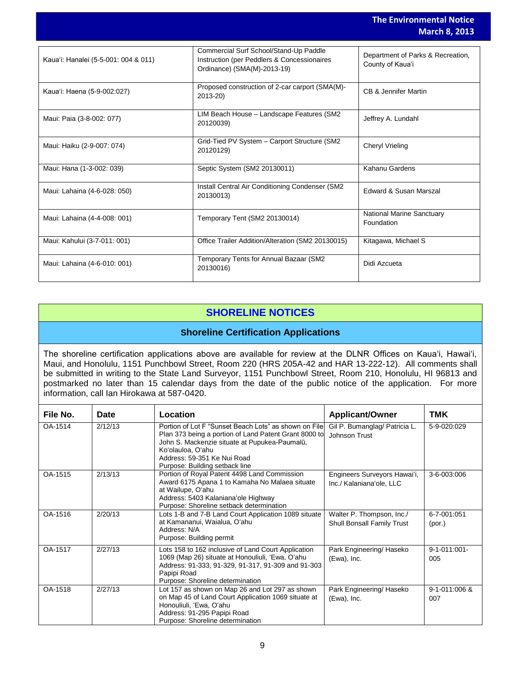|                                      |                                                                                                                      | <b>The Environmental Notice</b><br><b>March 8, 2013</b> |
|--------------------------------------|----------------------------------------------------------------------------------------------------------------------|---------------------------------------------------------|
| Kaua'i: Hanalei (5-5-001: 004 & 011) | Commercial Surf School/Stand-Up Paddle<br>Instruction (per Peddlers & Concessionaires<br>Ordinance) (SMA(M)-2013-19) | Department of Parks & Recreation,<br>County of Kaua'i   |
| Kaua'i: Haena (5-9-002:027)          | Proposed construction of 2-car carport (SMA(M)-<br>2013-20)                                                          | CB & Jennifer Martin                                    |
| Maui: Paia (3-8-002: 077)            | LIM Beach House - Landscape Features (SM2<br>20120039)                                                               | Jeffrey A. Lundahl                                      |
| Maui: Haiku (2-9-007: 074)           | Grid-Tied PV System - Carport Structure (SM2<br>20120129)                                                            | <b>Cheryl Vrieling</b>                                  |
| Maui: Hana (1-3-002: 039)            | Septic System (SM2 20130011)                                                                                         | Kahanu Gardens                                          |
| Maui: Lahaina (4-6-028: 050)         | Install Central Air Conditioning Condenser (SM2<br>20130013)                                                         | Edward & Susan Marszal                                  |
| Maui: Lahaina (4-4-008: 001)         | Temporary Tent (SM2 20130014)                                                                                        | <b>National Marine Sanctuary</b><br>Foundation          |
| Maui: Kahului (3-7-011: 001)         | Office Trailer Addition/Alteration (SM2 20130015)                                                                    | Kitagawa, Michael S                                     |
| Maui: Lahaina (4-6-010: 001)         | Temporary Tents for Annual Bazaar (SM2<br>20130016)                                                                  | Didi Azcueta                                            |

# **SHORELINE NOTICES**

# **Shoreline Certification Applications**

The shoreline certification applications above are available for review at the DLNR Offices on Kauaʻi, Hawaiʻi, Maui, and Honolulu, 1151 Punchbowl Street, Room 220 (HRS 205A-42 and HAR 13-222-12). All comments shall be submitted in writing to the State Land Surveyor, 1151 Punchbowl Street, Room 210, Honolulu, HI 96813 and postmarked no later than 15 calendar days from the date of the public notice of the application. For more information, call Ian Hirokawa at 587-0420.

| File No. | <b>Date</b> | Location                                                                                                                                                                                                                                              | <b>Applicant/Owner</b>                                   | <b>TMK</b>                 |
|----------|-------------|-------------------------------------------------------------------------------------------------------------------------------------------------------------------------------------------------------------------------------------------------------|----------------------------------------------------------|----------------------------|
| OA-1514  | 2/12/13     | Portion of Lot F "Sunset Beach Lots" as shown on File<br>Plan 373 being a portion of Land Patent Grant 8000 to<br>John S. Mackenzie situate at Pupukea-Paumalū,<br>Ko'olauloa, O'ahu<br>Address: 59-351 Ke Nui Road<br>Purpose: Building setback line | Gil P. Bumanglag/ Patricia L.<br>Johnson Trust           | 5-9-020:029                |
| OA-1515  | 2/13/13     | Portion of Royal Patent 4498 Land Commission<br>Award 6175 Apana 1 to Kamaha No Malaea situate<br>at Wailupe, O'ahu<br>Address: 5403 Kalaniana'ole Highway<br>Purpose: Shoreline setback determination                                                | Engineers Surveyors Hawai'i,<br>Inc./ Kalaniana'ole, LLC | 3-6-003:006                |
| OA-1516  | 2/20/13     | Lots 1-B and 7-B Land Court Application 1089 situate<br>at Kamananui, Waialua, Oʻahu<br>Address: N/A<br>Purpose: Building permit                                                                                                                      | Walter P. Thompson, Inc./<br>Shull Bonsall Family Trust  | 6-7-001:051<br>(por.)      |
| OA-1517  | 2/27/13     | Lots 158 to 162 inclusive of Land Court Application<br>1069 (Map 26) situate at Honouliuli, 'Ewa, O'ahu<br>Address: 91-333, 91-329, 91-317, 91-309 and 91-303<br>Papipi Road<br>Purpose: Shoreline determination                                      | Park Engineering/ Haseko<br>(Ewa), Inc.                  | $9 - 1 - 011:001 -$<br>005 |
| OA-1518  | 2/27/13     | Lot 157 as shown on Map 26 and Lot 297 as shown<br>on Map 45 of Land Court Application 1069 situate at<br>Honouliuli, 'Ewa, O'ahu<br>Address: 91-295 Papipi Road<br>Purpose: Shoreline determination                                                  | Park Engineering/ Haseko<br>(Ewa), Inc.                  | 9-1-011:006 &<br>007       |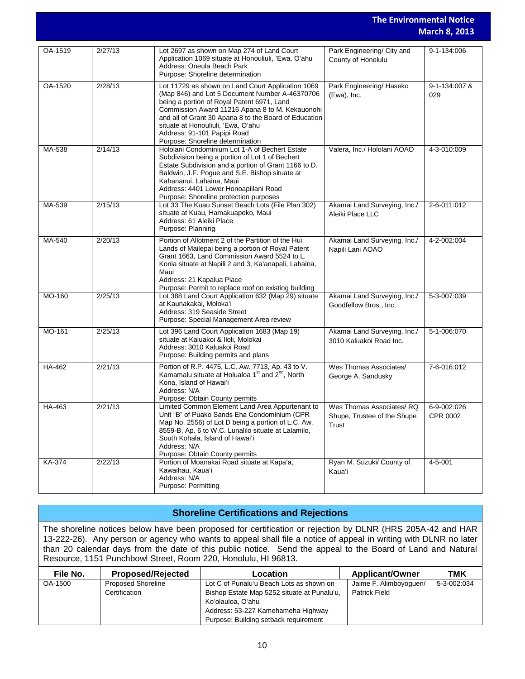|         |         |                                                                                                                                                                                                                                                                                                                                                                        |                                                                  | <b>The Environmental Notice</b><br><b>March 8, 2013</b> |
|---------|---------|------------------------------------------------------------------------------------------------------------------------------------------------------------------------------------------------------------------------------------------------------------------------------------------------------------------------------------------------------------------------|------------------------------------------------------------------|---------------------------------------------------------|
| OA-1519 | 2/27/13 | Lot 2697 as shown on Map 274 of Land Court<br>Application 1069 situate at Honouliuli, 'Ewa, O'ahu<br>Address: Oneula Beach Park<br>Purpose: Shoreline determination                                                                                                                                                                                                    | Park Engineering/ City and<br>County of Honolulu                 | 9-1-134:006                                             |
| OA-1520 | 2/28/13 | Lot 11729 as shown on Land Court Application 1069<br>(Map 846) and Lot 5 Document Number A-46370706<br>being a portion of Royal Patent 6971, Land<br>Commission Award 11216 Apana 8 to M. Kekauonohi<br>and all of Grant 30 Apana 8 to the Board of Education<br>situate at Honouliuli, 'Ewa, O'ahu<br>Address: 91-101 Papipi Road<br>Purpose: Shoreline determination | Park Engineering/ Haseko<br>(Ewa), Inc.                          | 9-1-134:007 &<br>029                                    |
| MA-538  | 2/14/13 | Hololani Condominium Lot 1-A of Bechert Estate<br>Subdivision being a portion of Lot 1 of Bechert<br>Estate Subdivision and a portion of Grant 1166 to D.<br>Baldwin, J.F. Pogue and S.E. Bishop situate at<br>Kahananui, Lahaina, Maui<br>Address: 4401 Lower Honoapiilani Road<br>Purpose: Shoreline protection purposes                                             | Valera, Inc./ Hololani AOAO                                      | 4-3-010:009                                             |
| MA-539  | 2/15/13 | Lot 33 The Kuau Sunset Beach Lots (File Plan 302)<br>situate at Kuau, Hamakuapoko, Maui<br>Address: 61 Aleiki Place<br>Purpose: Planning                                                                                                                                                                                                                               | Akamai Land Surveying, Inc./<br>Aleiki Place LLC                 | 2-6-011:012                                             |
| MA-540  | 2/20/13 | Portion of Allotment 2 of the Partition of the Hui<br>Lands of Mailepai being a portion of Royal Patent<br>Grant 1663, Land Commission Award 5524 to L.<br>Konia situate at Napili 2 and 3, Ka'anapali, Lahaina,<br>Maui<br>Address: 21 Kapalua Place<br>Purpose: Permit to replace roof on existing building                                                          | Akamai Land Surveying, Inc./<br>Napili Lani AOAO                 | 4-2-002:004                                             |
| MO-160  | 2/25/13 | Lot 388 Land Court Application 632 (Map 29) situate<br>at Kaunakakai, Moloka'i<br>Address: 319 Seaside Street<br>Purpose: Special Management Area review                                                                                                                                                                                                               | Akamai Land Surveying, Inc./<br>Goodfellow Bros., Inc.           | 5-3-007:039                                             |
| MO-161  | 2/25/13 | Lot 396 Land Court Application 1683 (Map 19)<br>situate at Kaluakoi & Iloli, Molokai<br>Address: 3010 Kaluakoi Road<br>Purpose: Building permits and plans                                                                                                                                                                                                             | Akamai Land Surveying, Inc./<br>3010 Kaluakoi Road Inc.          | 5-1-006:070                                             |
| HA-462  | 2/21/13 | Portion of R.P. 4475, L.C. Aw. 7713, Ap. 43 to V.<br>Kamamalu situate at Holualoa 1 <sup>st</sup> and 2 <sup>nd</sup> , North<br>Kona, Island of Hawai'i<br>Address: N/A<br>Purpose: Obtain County permits                                                                                                                                                             | Wes Thomas Associates/<br>George A. Sandusky                     | 7-6-016:012                                             |
| HA-463  | 2/21/13 | Limited Common Element Land Area Appurtenant to<br>Unit "B" of Puako Sands Eha Condominium (CPR<br>Map No. 2556) of Lot D being a portion of L.C. Aw.<br>8559-B, Ap. 6 to W.C. Lunalilo situate at Lalamilo,<br>South Kohala, Island of Hawai'i<br>Address: N/A<br>Purpose: Obtain County permits                                                                      | Wes Thomas Associates/RQ<br>Shupe, Trustee of the Shupe<br>Trust | 6-9-002:026<br>CPR 0002                                 |
| KA-374  | 2/22/13 | Portion of Moanakai Road situate at Kapa'a,<br>Kawaihau, Kaua'i<br>Address: N/A<br>Purpose: Permitting                                                                                                                                                                                                                                                                 | Ryan M. Suzuki/ County of<br>Kaua'i                              | 4-5-001                                                 |

# **Shoreline Certifications and Rejections**

The shoreline notices below have been proposed for certification or rejection by DLNR (HRS 205A-42 and HAR 13-222-26). Any person or agency who wants to appeal shall file a notice of appeal in writing with DLNR no later than 20 calendar days from the date of this public notice. Send the appeal to the Board of Land and Natural Resource, 1151 Punchbowl Street, Room 220, Honolulu, HI 96813.

| File No. | <b>Proposed/Rejected</b>  | Location                                    | <b>Applicant/Owner</b> | тмк         |
|----------|---------------------------|---------------------------------------------|------------------------|-------------|
| OA-1500  | <b>Proposed Shoreline</b> | Lot C of Punalu'u Beach Lots as shown on    | Jaime F. Alimboyoguen/ | 5-3-002:034 |
|          | Certification             | Bishop Estate Map 5252 situate at Punalu'u, | <b>Patrick Field</b>   |             |
|          |                           | Koʻolauloa, Oʻahu                           |                        |             |
|          |                           | Address: 53-227 Kamehameha Highway          |                        |             |
|          |                           | Purpose: Building setback requirement       |                        |             |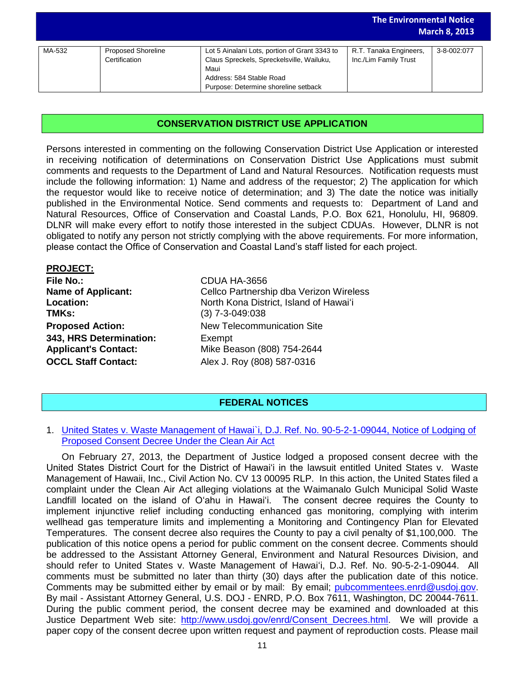|        |                           |                                               | <b>The Environmental Notice</b> | <b>March 8, 2013</b> |
|--------|---------------------------|-----------------------------------------------|---------------------------------|----------------------|
|        |                           |                                               |                                 |                      |
| MA-532 | <b>Proposed Shoreline</b> | Lot 5 Ainalani Lots, portion of Grant 3343 to | R.T. Tanaka Engineers,          | 3-8-002:077          |
|        | Certification             | Claus Spreckels, Spreckelsville, Wailuku,     | Inc./Lim Family Trust           |                      |
|        |                           | Maui                                          |                                 |                      |
|        |                           | Address: 584 Stable Road                      |                                 |                      |
|        |                           | Purpose: Determine shoreline setback          |                                 |                      |

# **CONSERVATION DISTRICT USE APPLICATION**

Persons interested in commenting on the following Conservation District Use Application or interested in receiving notification of determinations on Conservation District Use Applications must submit comments and requests to the Department of Land and Natural Resources. Notification requests must include the following information: 1) Name and address of the requestor; 2) The application for which the requestor would like to receive notice of determination; and 3) The date the notice was initially published in the Environmental Notice. Send comments and requests to: Department of Land and Natural Resources, Office of Conservation and Coastal Lands, P.O. Box 621, Honolulu, HI, 96809. DLNR will make every effort to notify those interested in the subject CDUAs. However, DLNR is not obligated to notify any person not strictly complying with the above requirements. For more information, please contact the Office of Conservation and Coastal Land's staff listed for each project.

| <b>PROJECT:</b>             |                                         |
|-----------------------------|-----------------------------------------|
| <b>File No.:</b>            | CDUA HA-3656                            |
| <b>Name of Applicant:</b>   | Cellco Partnership dba Verizon Wireless |
| Location:                   | North Kona District, Island of Hawai'i  |
| TMKs:                       | $(3)$ 7-3-049:038                       |
| <b>Proposed Action:</b>     | New Telecommunication Site              |
| 343, HRS Determination:     | Exempt                                  |
| <b>Applicant's Contact:</b> | Mike Beason (808) 754-2644              |
| <b>OCCL Staff Contact:</b>  | Alex J. Roy (808) 587-0316              |
|                             |                                         |

# **FEDERAL NOTICES**

# 1. [United States v. Waste Management of Hawai`i, D.J. Ref. No. 90-5-2-1-09044, Notice of Lodging of](http://www.gpo.gov/fdsys/pkg/FR-2013-03-06/pdf/2013-05078.pdf)  [Proposed Consent Decree Under the Clean Air Act](http://www.gpo.gov/fdsys/pkg/FR-2013-03-06/pdf/2013-05078.pdf)

On February 27, 2013, the Department of Justice lodged a proposed consent decree with the United States District Court for the District of Hawai'i in the lawsuit entitled United States v. Waste Management of Hawaii, Inc., Civil Action No. CV 13 00095 RLP. In this action, the United States filed a complaint under the Clean Air Act alleging violations at the Waimanalo Gulch Municipal Solid Waste Landfill located on the island of O'ahu in Hawai'i. The consent decree requires the County to implement injunctive relief including conducting enhanced gas monitoring, complying with interim wellhead gas temperature limits and implementing a Monitoring and Contingency Plan for Elevated Temperatures. The consent decree also requires the County to pay a civil penalty of \$1,100,000. The publication of this notice opens a period for public comment on the consent decree. Comments should be addressed to the Assistant Attorney General, Environment and Natural Resources Division, and should refer to United States v. Waste Management of Hawaiʻi, D.J. Ref. No. 90-5-2-1-09044. All comments must be submitted no later than thirty (30) days after the publication date of this notice. Comments may be submitted either by email or by mail: By email; [pubcommentees.enrd@usdoj.gov.](mailto:pubcommentees.enrd@usdoj.gov) By mail - Assistant Attorney General, U.S. DOJ - ENRD, P.O. Box 7611, Washington, DC 20044-7611. During the public comment period, the consent decree may be examined and downloaded at this Justice Department Web site: http://www.usdoj.gov/enrd/Consent Decrees.html. We will provide a paper copy of the consent decree upon written request and payment of reproduction costs. Please mail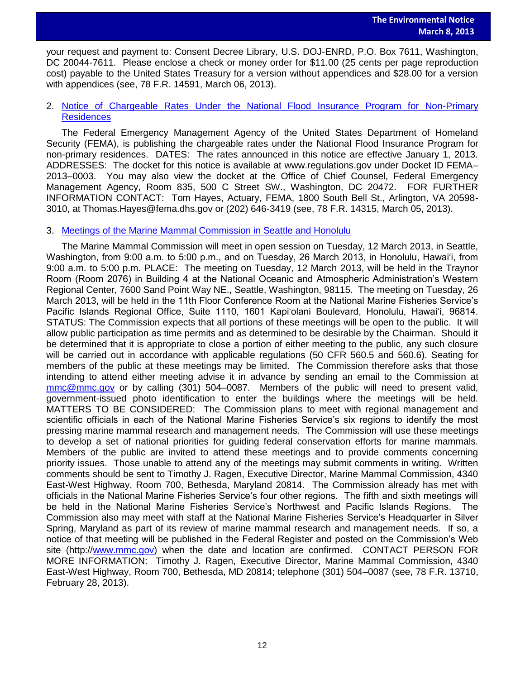your request and payment to: Consent Decree Library, U.S. DOJ-ENRD, P.O. Box 7611, Washington, DC 20044-7611. Please enclose a check or money order for \$11.00 (25 cents per page reproduction cost) payable to the United States Treasury for a version without appendices and \$28.00 for a version with appendices (see, 78 F.R. 14591, March 06, 2013).

# 2. [Notice of Chargeable Rates Under the National Flood Insurance Program for Non-Primary](http://www.gpo.gov/fdsys/pkg/FR-2013-03-05/pdf/2013-04981.pdf)  [Residences](http://www.gpo.gov/fdsys/pkg/FR-2013-03-05/pdf/2013-04981.pdf)

The Federal Emergency Management Agency of the United States Department of Homeland Security (FEMA), is publishing the chargeable rates under the National Flood Insurance Program for non-primary residences. DATES: The rates announced in this notice are effective January 1, 2013. ADDRESSES: The docket for this notice is available at www.regulations.gov under Docket ID FEMA– 2013–0003. You may also view the docket at the Office of Chief Counsel, Federal Emergency Management Agency, Room 835, 500 C Street SW., Washington, DC 20472. FOR FURTHER INFORMATION CONTACT: Tom Hayes, Actuary, FEMA, 1800 South Bell St., Arlington, VA 20598- 3010, at Thomas.Hayes@fema.dhs.gov or (202) 646-3419 (see, 78 F.R. 14315, March 05, 2013).

# 3. [Meetings of the Marine Mammal Commission in Seattle and Honolulu](http://www.gpo.gov/fdsys/pkg/FR-2013-02-28/pdf/2013-04848.pdf)

The Marine Mammal Commission will meet in open session on Tuesday, 12 March 2013, in Seattle, Washington, from 9:00 a.m. to 5:00 p.m., and on Tuesday, 26 March 2013, in Honolulu, Hawai'i, from 9:00 a.m. to 5:00 p.m. PLACE: The meeting on Tuesday, 12 March 2013, will be held in the Traynor Room (Room 2076) in Building 4 at the National Oceanic and Atmospheric Administration's Western Regional Center, 7600 Sand Point Way NE., Seattle, Washington, 98115. The meeting on Tuesday, 26 March 2013, will be held in the 11th Floor Conference Room at the National Marine Fisheries Service's Pacific Islands Regional Office, Suite 1110, 1601 Kapi'olani Boulevard, Honolulu, Hawai'i, 96814. STATUS: The Commission expects that all portions of these meetings will be open to the public. It will allow public participation as time permits and as determined to be desirable by the Chairman. Should it be determined that it is appropriate to close a portion of either meeting to the public, any such closure will be carried out in accordance with applicable regulations (50 CFR 560.5 and 560.6). Seating for members of the public at these meetings may be limited. The Commission therefore asks that those intending to attend either meeting advise it in advance by sending an email to the Commission at [mmc@mmc.gov](mailto:mmc@mmc.gov) or by calling (301) 504–0087. Members of the public will need to present valid, government-issued photo identification to enter the buildings where the meetings will be held. MATTERS TO BE CONSIDERED: The Commission plans to meet with regional management and scientific officials in each of the National Marine Fisheries Service's six regions to identify the most pressing marine mammal research and management needs. The Commission will use these meetings to develop a set of national priorities for guiding federal conservation efforts for marine mammals. Members of the public are invited to attend these meetings and to provide comments concerning priority issues. Those unable to attend any of the meetings may submit comments in writing. Written comments should be sent to Timothy J. Ragen, Executive Director, Marine Mammal Commission, 4340 East-West Highway, Room 700, Bethesda, Maryland 20814. The Commission already has met with officials in the National Marine Fisheries Service's four other regions. The fifth and sixth meetings will be held in the National Marine Fisheries Service's Northwest and Pacific Islands Regions. The Commission also may meet with staff at the National Marine Fisheries Service's Headquarter in Silver Spring, Maryland as part of its review of marine mammal research and management needs. If so, a notice of that meeting will be published in the Federal Register and posted on the Commission's Web site (http:/[/www.mmc.gov\)](http://www.mmc.gov/) when the date and location are confirmed. CONTACT PERSON FOR MORE INFORMATION: Timothy J. Ragen, Executive Director, Marine Mammal Commission, 4340 East-West Highway, Room 700, Bethesda, MD 20814; telephone (301) 504–0087 (see, 78 F.R. 13710, February 28, 2013).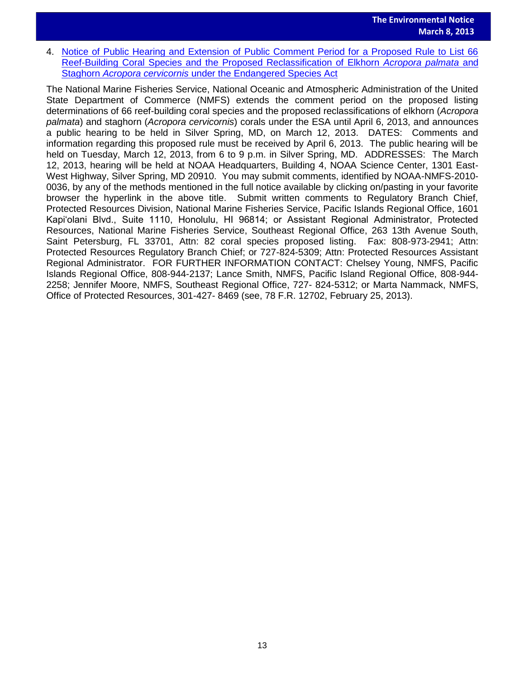4. Notice of Public Hearing and Extension of Public Comment Period for a Proposed Rule to List 66 [Reef-Building Coral Species and the Proposed Reclassification of Elkhorn](http://www.gpo.gov/fdsys/pkg/FR-2013-02-25/pdf/2013-04150.pdf) *Acropora palmata* and Staghorn *Acropora cervicornis* [under the Endangered Species Act](http://www.gpo.gov/fdsys/pkg/FR-2013-02-25/pdf/2013-04150.pdf) 

The National Marine Fisheries Service, National Oceanic and Atmospheric Administration of the United State Department of Commerce (NMFS) extends the comment period on the proposed listing determinations of 66 reef-building coral species and the proposed reclassifications of elkhorn (*Acropora palmata*) and staghorn (*Acropora cervicornis*) corals under the ESA until April 6, 2013, and announces a public hearing to be held in Silver Spring, MD, on March 12, 2013. DATES: Comments and information regarding this proposed rule must be received by April 6, 2013. The public hearing will be held on Tuesday, March 12, 2013, from 6 to 9 p.m. in Silver Spring, MD. ADDRESSES: The March 12, 2013, hearing will be held at NOAA Headquarters, Building 4, NOAA Science Center, 1301 East-West Highway, Silver Spring, MD 20910. You may submit comments, identified by NOAA-NMFS-2010- 0036, by any of the methods mentioned in the full notice available by clicking on/pasting in your favorite browser the hyperlink in the above title. Submit written comments to Regulatory Branch Chief, Protected Resources Division, National Marine Fisheries Service, Pacific Islands Regional Office, 1601 Kapi'olani Blvd., Suite 1110, Honolulu, HI 96814; or Assistant Regional Administrator, Protected Resources, National Marine Fisheries Service, Southeast Regional Office, 263 13th Avenue South, Saint Petersburg, FL 33701, Attn: 82 coral species proposed listing. Fax: 808-973-2941; Attn: Protected Resources Regulatory Branch Chief; or 727-824-5309; Attn: Protected Resources Assistant Regional Administrator. FOR FURTHER INFORMATION CONTACT: Chelsey Young, NMFS, Pacific Islands Regional Office, 808-944-2137; Lance Smith, NMFS, Pacific Island Regional Office, 808-944- 2258; Jennifer Moore, NMFS, Southeast Regional Office, 727- 824-5312; or Marta Nammack, NMFS, Office of Protected Resources, 301-427- 8469 (see, 78 F.R. 12702, February 25, 2013).